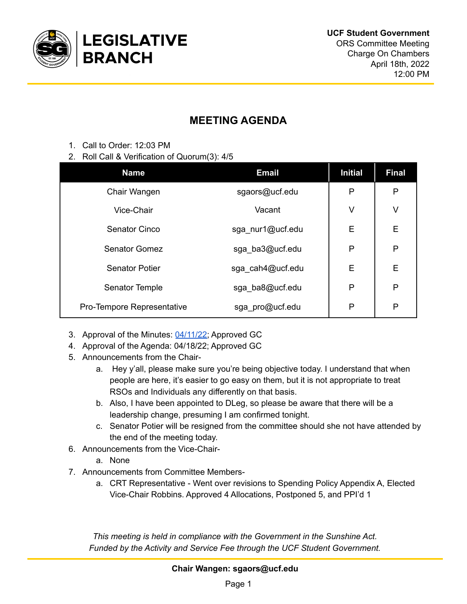

## **MEETING AGENDA**

- 1. Call to Order: 12:03 PM
- 2. Roll Call & Verification of Quorum(3): 4/5

| <b>Name</b>                | <b>Email</b>     | <b>Initial</b> | <b>Final</b> |
|----------------------------|------------------|----------------|--------------|
| Chair Wangen               | sgaors@ucf.edu   | P              | P            |
| Vice-Chair                 | Vacant           | V              | V            |
| Senator Cinco              | sga_nur1@ucf.edu | E              | E            |
| <b>Senator Gomez</b>       | sga_ba3@ucf.edu  | P              | P            |
| <b>Senator Potier</b>      | sga cah4@ucf.edu | E              | E            |
| Senator Temple             | sga_ba8@ucf.edu  | P              | P            |
| Pro-Tempore Representative | sga_pro@ucf.edu  | P              | P            |

- 3. Approval of the Minutes: [04/11/22;](https://docs.google.com/document/u/0/d/1WOe40vm0wcI4H6sSm9ymJCuCRSkIRfMdZuw_1PUEYks/edit) Approved GC
- 4. Approval of the Agenda: 04/18/22; Approved GC
- 5. Announcements from the Chair
	- a. Hey y'all, please make sure you're being objective today. I understand that when people are here, it's easier to go easy on them, but it is not appropriate to treat RSOs and Individuals any differently on that basis.
	- b. Also, I have been appointed to DLeg, so please be aware that there will be a leadership change, presuming I am confirmed tonight.
	- c. Senator Potier will be resigned from the committee should she not have attended by the end of the meeting today.
- 6. Announcements from the Vice-Chair
	- a. None
- 7. Announcements from Committee Members
	- a. CRT Representative Went over revisions to Spending Policy Appendix A, Elected Vice-Chair Robbins. Approved 4 Allocations, Postponed 5, and PPI'd 1

*This meeting is held in compliance with the Government in the Sunshine Act. Funded by the Activity and Service Fee through the UCF Student Government.*

**Chair Wangen: sgaors@ucf.edu**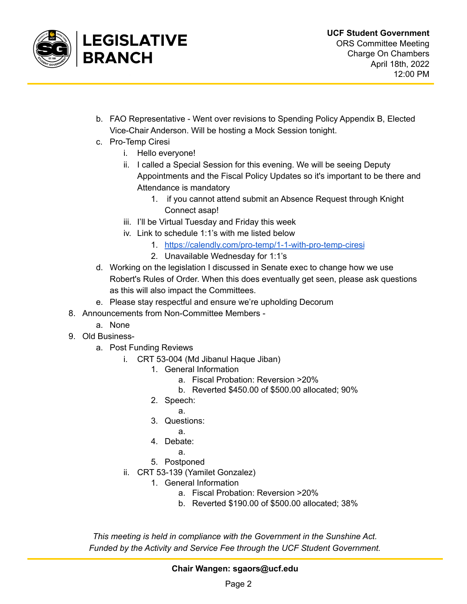

- b. FAO Representative Went over revisions to Spending Policy Appendix B, Elected Vice-Chair Anderson. Will be hosting a Mock Session tonight.
- c. Pro-Temp Ciresi
	- i. Hello everyone!
	- ii. I called a Special Session for this evening. We will be seeing Deputy Appointments and the Fiscal Policy Updates so it's important to be there and Attendance is mandatory
		- 1. if you cannot attend submit an Absence Request through Knight Connect asap!
	- iii. I'll be Virtual Tuesday and Friday this week
	- iv. Link to schedule 1:1's with me listed below
		- 1. <https://calendly.com/pro-temp/1-1-with-pro-temp-ciresi>
		- 2. Unavailable Wednesday for 1:1's
- d. Working on the legislation I discussed in Senate exec to change how we use Robert's Rules of Order. When this does eventually get seen, please ask questions as this will also impact the Committees.
- e. Please stay respectful and ensure we're upholding Decorum
- 8. Announcements from Non-Committee Members
	- a. None
- 9. Old Business
	- a. Post Funding Reviews
		- i. CRT 53-004 (Md Jibanul Haque Jiban)
			- 1. General Information
				- a. Fiscal Probation: Reversion >20%
				- b. Reverted \$450.00 of \$500.00 allocated; 90%
			- 2. Speech:
				- a.
			- 3. Questions:
				- a.
			- 4. Debate:
				- a.
			- 5. Postponed
		- ii. CRT 53-139 (Yamilet Gonzalez)
			- 1. General Information
				- a. Fiscal Probation: Reversion >20%
				- b. Reverted \$190.00 of \$500.00 allocated; 38%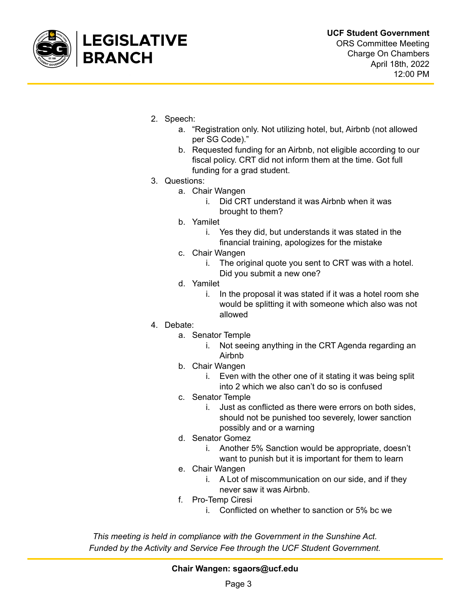

- 2. Speech:
	- a. "Registration only. Not utilizing hotel, but, Airbnb (not allowed per SG Code)."
	- b. Requested funding for an Airbnb, not eligible according to our fiscal policy. CRT did not inform them at the time. Got full funding for a grad student.
- 3. Questions:
	- a. Chair Wangen
		- i. Did CRT understand it was Airbnb when it was brought to them?
	- b. Yamilet
		- i. Yes they did, but understands it was stated in the financial training, apologizes for the mistake
	- c. Chair Wangen
		- i. The original quote you sent to CRT was with a hotel. Did you submit a new one?
	- d. Yamilet
		- i. In the proposal it was stated if it was a hotel room she would be splitting it with someone which also was not allowed
- 4. Debate:
	- a. Senator Temple
		- i. Not seeing anything in the CRT Agenda regarding an Airbnb
	- b. Chair Wangen
		- i. Even with the other one of it stating it was being split into 2 which we also can't do so is confused
	- c. Senator Temple
		- i. Just as conflicted as there were errors on both sides, should not be punished too severely, lower sanction possibly and or a warning
	- d. Senator Gomez
		- i. Another 5% Sanction would be appropriate, doesn't want to punish but it is important for them to learn
	- e. Chair Wangen
		- i. A Lot of miscommunication on our side, and if they never saw it was Airbnb.
	- f. Pro-Temp Ciresi
		- i. Conflicted on whether to sanction or 5% bc we

**Chair Wangen: sgaors@ucf.edu**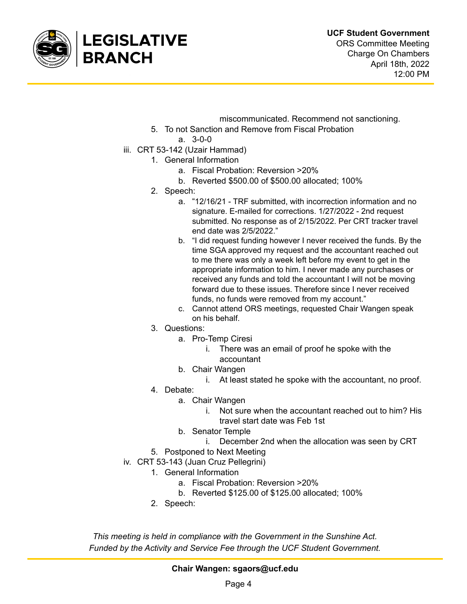

- miscommunicated. Recommend not sanctioning.
- 5. To not Sanction and Remove from Fiscal Probation
	- a. 3-0-0
- iii. CRT 53-142 (Uzair Hammad)
	- 1. General Information
		- a. Fiscal Probation: Reversion >20%
		- b. Reverted \$500.00 of \$500.00 allocated; 100%
	- 2. Speech:
		- a. "12/16/21 TRF submitted, with incorrection information and no signature. E-mailed for corrections. 1/27/2022 - 2nd request submitted. No response as of 2/15/2022. Per CRT tracker travel end date was 2/5/2022."
		- b. "I did request funding however I never received the funds. By the time SGA approved my request and the accountant reached out to me there was only a week left before my event to get in the appropriate information to him. I never made any purchases or received any funds and told the accountant I will not be moving forward due to these issues. Therefore since I never received funds, no funds were removed from my account."
		- c. Cannot attend ORS meetings, requested Chair Wangen speak on his behalf.
	- 3. Questions:
		- a. Pro-Temp Ciresi
			- i. There was an email of proof he spoke with the accountant
		- b. Chair Wangen
			- i. At least stated he spoke with the accountant, no proof.
	- 4. Debate:
		- a. Chair Wangen
			- i. Not sure when the accountant reached out to him? His travel start date was Feb 1st
		- b. Senator Temple
			- i. December 2nd when the allocation was seen by CRT
	- 5. Postponed to Next Meeting
- iv. CRT 53-143 (Juan Cruz Pellegrini)
	- 1. General Information
		- a. Fiscal Probation: Reversion >20%
		- b. Reverted \$125.00 of \$125.00 allocated; 100%
	- 2. Speech:

**Chair Wangen: sgaors@ucf.edu**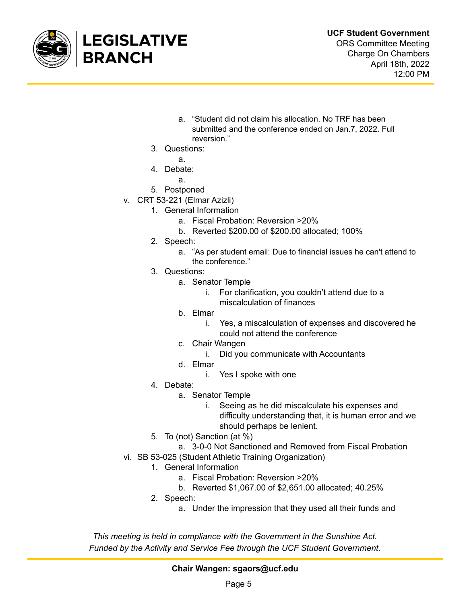

- a. "Student did not claim his allocation. No TRF has been submitted and the conference ended on Jan.7, 2022. Full reversion."
- 3. Questions:
	- a.
- 4. Debate:
	- a.
- 5. Postponed
- v. CRT 53-221 (Elmar Azizli)
	- 1. General Information
		- a. Fiscal Probation: Reversion >20%
		- b. Reverted \$200.00 of \$200.00 allocated; 100%
		- 2. Speech:
			- a. "As per student email: Due to financial issues he can't attend to the conference."
		- 3. Questions:
			- a. Senator Temple
				- i. For clarification, you couldn't attend due to a miscalculation of finances
			- b. Elmar
				- i. Yes, a miscalculation of expenses and discovered he could not attend the conference
			- c. Chair Wangen
				- i. Did you communicate with Accountants
			- d. Elmar
				- i. Yes I spoke with one
		- 4. Debate:
			- a. Senator Temple
				- i. Seeing as he did miscalculate his expenses and difficulty understanding that, it is human error and we should perhaps be lenient.
		- 5. To (not) Sanction (at %)
			- a. 3-0-0 Not Sanctioned and Removed from Fiscal Probation
- vi. SB 53-025 (Student Athletic Training Organization)
	- 1. General Information
		- a. Fiscal Probation: Reversion >20%
		- b. Reverted \$1,067.00 of \$2,651.00 allocated; 40.25%
	- 2. Speech:
		- a. Under the impression that they used all their funds and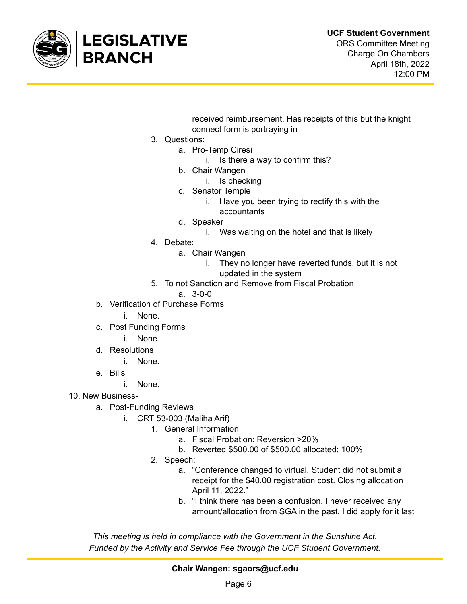

received reimbursement. Has receipts of this but the knight connect form is portraying in

- 3. Questions:
	- a. Pro-Temp Ciresi
		- i. Is there a way to confirm this?
		- b. Chair Wangen
			- i. Is checking
		- c. Senator Temple
			- i. Have you been trying to rectify this with the
			- accountants
		- d. Speaker
			- i. Was waiting on the hotel and that is likely
- 4. Debate:
	- a. Chair Wangen
		- i. They no longer have reverted funds, but it is not updated in the system
- 5. To not Sanction and Remove from Fiscal Probation
	- a. 3-0-0
- b. Verification of Purchase Forms
	- i. None.
- c. Post Funding Forms
	- i. None.
- d. Resolutions
	- i. None.
- e. Bills
	- i. None.
- 10. New Business
	- a. Post-Funding Reviews
		- i. CRT 53-003 (Maliha Arif)
			- 1. General Information
				- a. Fiscal Probation: Reversion >20%
				- b. Reverted \$500.00 of \$500.00 allocated; 100%
			- 2. Speech:
				- a. "Conference changed to virtual. Student did not submit a receipt for the \$40.00 registration cost. Closing allocation April 11, 2022."
				- b. "I think there has been a confusion. I never received any amount/allocation from SGA in the past. I did apply for it last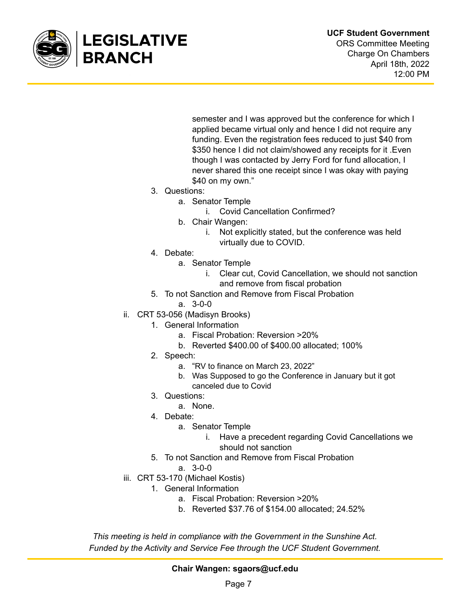

semester and I was approved but the conference for which I applied became virtual only and hence I did not require any funding. Even the registration fees reduced to just \$40 from \$350 hence I did not claim/showed any receipts for it .Even though I was contacted by Jerry Ford for fund allocation, I never shared this one receipt since I was okay with paying \$40 on my own."

- 3. Questions:
	- a. Senator Temple
		- i. Covid Cancellation Confirmed?
	- b. Chair Wangen:
		- i. Not explicitly stated, but the conference was held virtually due to COVID.
- 4. Debate:
	- a. Senator Temple
		- i. Clear cut, Covid Cancellation, we should not sanction and remove from fiscal probation
- 5. To not Sanction and Remove from Fiscal Probation
	- a. 3-0-0
- ii. CRT 53-056 (Madisyn Brooks)
	- 1. General Information
		- a. Fiscal Probation: Reversion >20%
		- b. Reverted \$400.00 of \$400.00 allocated; 100%
	- 2. Speech:
		- a. "RV to finance on March 23, 2022"
		- b. Was Supposed to go the Conference in January but it got canceled due to Covid
	- 3. Questions:
		- a. None.
	- 4. Debate:
		- a. Senator Temple
			- i. Have a precedent regarding Covid Cancellations we should not sanction
	- 5. To not Sanction and Remove from Fiscal Probation
		- a. 3-0-0
- iii. CRT 53-170 (Michael Kostis)
	- 1. General Information
		- a. Fiscal Probation: Reversion >20%
		- b. Reverted \$37.76 of \$154.00 allocated; 24.52%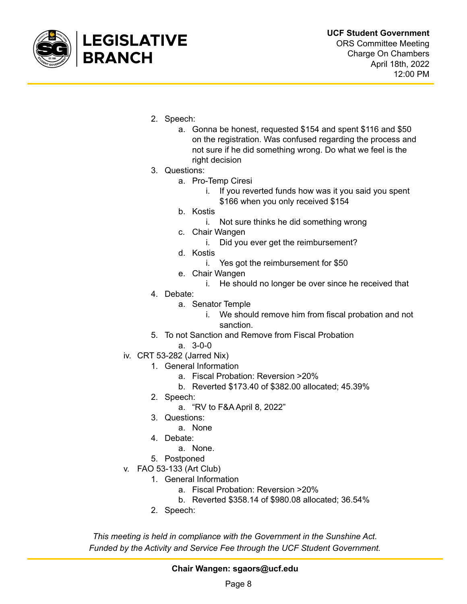

- 2. Speech:
	- a. Gonna be honest, requested \$154 and spent \$116 and \$50 on the registration. Was confused regarding the process and not sure if he did something wrong. Do what we feel is the right decision
- 3. Questions:
	- a. Pro-Temp Ciresi
		- i. If you reverted funds how was it you said you spent \$166 when you only received \$154
	- b. Kostis
		- i. Not sure thinks he did something wrong
	- c. Chair Wangen
		- i. Did you ever get the reimbursement?
	- d. Kostis
		- i. Yes got the reimbursement for \$50
	- e. Chair Wangen
		- i. He should no longer be over since he received that
- 4. Debate:
	- a. Senator Temple
		- i. We should remove him from fiscal probation and not sanction.
- 5. To not Sanction and Remove from Fiscal Probation
	- a. 3-0-0
- iv. CRT 53-282 (Jarred Nix)
	- 1. General Information
		- a. Fiscal Probation: Reversion >20%
		- b. Reverted \$173.40 of \$382.00 allocated; 45.39%
	- 2. Speech:
		- a. "RV to F&A April 8, 2022"
	- 3. Questions:
		- a. None
	- 4. Debate:
		- a. None.
	- 5. Postponed
- v. FAO 53-133 (Art Club)
	- 1. General Information
		- a. Fiscal Probation: Reversion >20%
		- b. Reverted \$358.14 of \$980.08 allocated; 36.54%
		- 2. Speech: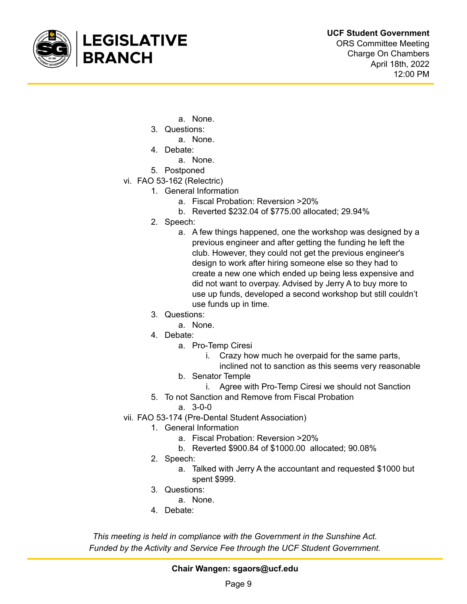

April 18th, 2022

12:00 PM

- a. None.
- 3. Questions:
	- a. None.
- 4. Debate:
	- a. None.
- 5. Postponed
- vi. FAO 53-162 (Relectric)
	- 1. General Information
		- a. Fiscal Probation: Reversion >20%
		- b. Reverted \$232.04 of \$775.00 allocated; 29.94%
	- 2. Speech:
		- a. A few things happened, one the workshop was designed by a previous engineer and after getting the funding he left the club. However, they could not get the previous engineer's design to work after hiring someone else so they had to create a new one which ended up being less expensive and did not want to overpay. Advised by Jerry A to buy more to use up funds, developed a second workshop but still couldn't use funds up in time.
	- 3. Questions:
		- a. None.
	- 4. Debate:
		- a. Pro-Temp Ciresi
			- i. Crazy how much he overpaid for the same parts,
			- inclined not to sanction as this seems very reasonable
		- b. Senator Temple
			- i. Agree with Pro-Temp Ciresi we should not Sanction
	- 5. To not Sanction and Remove from Fiscal Probation
		- a. 3-0-0
- vii. FAO 53-174 (Pre-Dental Student Association)
	- 1. General Information
		- a. Fiscal Probation: Reversion >20%
		- b. Reverted \$900.84 of \$1000.00 allocated; 90.08%
	- 2. Speech:
		- a. Talked with Jerry A the accountant and requested \$1000 but spent \$999.
	- 3. Questions:
		- a. None.
	- 4. Debate: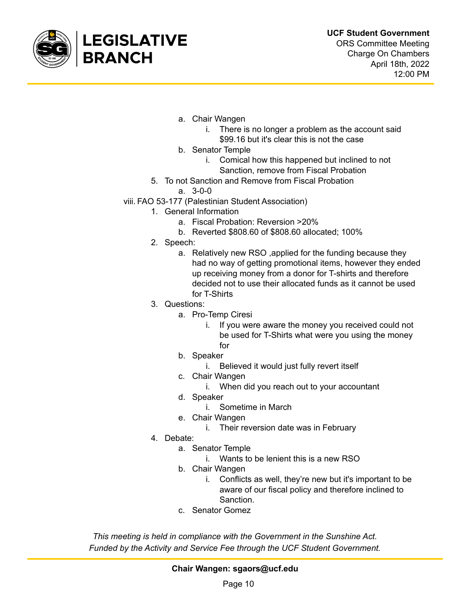

- a. Chair Wangen
	- i. There is no longer a problem as the account said \$99.16 but it's clear this is not the case
- b. Senator Temple
	- i. Comical how this happened but inclined to not Sanction, remove from Fiscal Probation
- 5. To not Sanction and Remove from Fiscal Probation

a. 3-0-0

- viii. FAO 53-177 (Palestinian Student Association)
	- 1. General Information
		- a. Fiscal Probation: Reversion >20%
		- b. Reverted \$808.60 of \$808.60 allocated; 100%
	- 2. Speech:
		- a. Relatively new RSO ,applied for the funding because they had no way of getting promotional items, however they ended up receiving money from a donor for T-shirts and therefore decided not to use their allocated funds as it cannot be used for T-Shirts
	- 3. Questions:
		- a. Pro-Temp Ciresi
			- i. If you were aware the money you received could not be used for T-Shirts what were you using the money for
		- b. Speaker
			- i. Believed it would just fully revert itself
		- c. Chair Wangen
			- i. When did you reach out to your accountant
		- d. Speaker
			- i. Sometime in March
		- e. Chair Wangen
			- i. Their reversion date was in February
	- 4. Debate:
		- a. Senator Temple
			- i. Wants to be lenient this is a new RSO
		- b. Chair Wangen
			- i. Conflicts as well, they're new but it's important to be aware of our fiscal policy and therefore inclined to Sanction.
		- c. Senator Gomez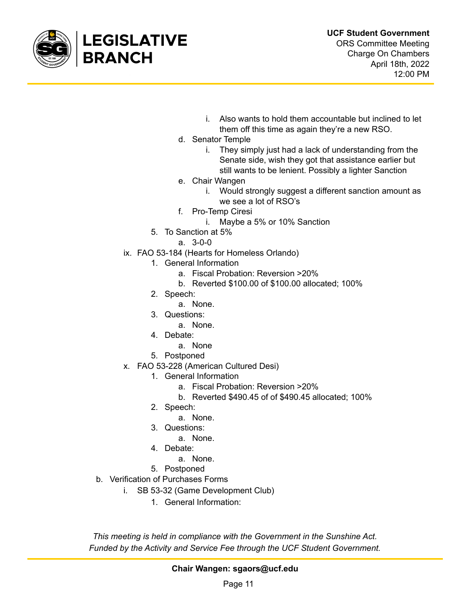

- i. Also wants to hold them accountable but inclined to let them off this time as again they're a new RSO.
- d. Senator Temple
	- i. They simply just had a lack of understanding from the Senate side, wish they got that assistance earlier but still wants to be lenient. Possibly a lighter Sanction
- e. Chair Wangen
	- i. Would strongly suggest a different sanction amount as we see a lot of RSO's
- f. Pro-Temp Ciresi
	- i. Maybe a 5% or 10% Sanction
- 5. To Sanction at 5%
	- a. 3-0-0
- ix. FAO 53-184 (Hearts for Homeless Orlando)
	- 1. General Information
		- a. Fiscal Probation: Reversion >20%
		- b. Reverted \$100.00 of \$100.00 allocated; 100%
	- 2. Speech:
		- a. None.
	- 3. Questions:
		- a. None.
	- 4. Debate:
		- a. None
	- 5. Postponed
- x. FAO 53-228 (American Cultured Desi)
	- 1. General Information
		- a. Fiscal Probation: Reversion >20%
		- b. Reverted \$490.45 of of \$490.45 allocated; 100%
	- 2. Speech:
		- a. None.
	- 3. Questions:
		- a. None.
	- 4. Debate:
		- a. None.
	- 5. Postponed
- b. Verification of Purchases Forms
	- i. SB 53-32 (Game Development Club)
		- 1. General Information: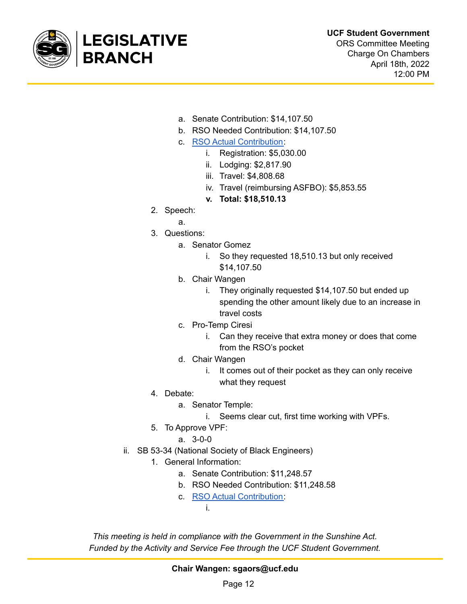

ORS Committee Meeting Charge On Chambers April 18th, 2022 12:00 PM

- a. Senate Contribution: \$14,107.50
- b. RSO Needed Contribution: \$14,107.50
- c. RSO Actual [Contribution:](https://drive.google.com/drive/folders/10cmzip32oOT3OKDklhdVsjeodl738FV8?usp=sharing)
	- i. Registration: \$5,030.00
	- ii. Lodging: \$2,817.90
	- iii. Travel: \$4,808.68
	- iv. Travel (reimbursing ASFBO): \$5,853.55
	- **v. Total: \$18,510.13**
- 2. Speech:
	- a.
- 3. Questions:
	- a. Senator Gomez
		- i. So they requested 18,510.13 but only received \$14,107.50
	- b. Chair Wangen
		- i. They originally requested \$14,107.50 but ended up spending the other amount likely due to an increase in travel costs
	- c. Pro-Temp Ciresi
		- i. Can they receive that extra money or does that come from the RSO's pocket
	- d. Chair Wangen
		- i. It comes out of their pocket as they can only receive what they request
- 4. Debate:
	- a. Senator Temple:
		- i. Seems clear cut, first time working with VPFs.
- 5. To Approve VPF:
	- a. 3-0-0
- ii. SB 53-34 (National Society of Black Engineers)

i.

- 1. General Information:
	- a. Senate Contribution: \$11,248.57
	- b. RSO Needed Contribution: \$11,248.58
	- c. RSO Actual [Contribution:](https://drive.google.com/drive/folders/1ehYLzs16DXo7PNTEO9nw4b2uNJApgj2K?usp=sharing)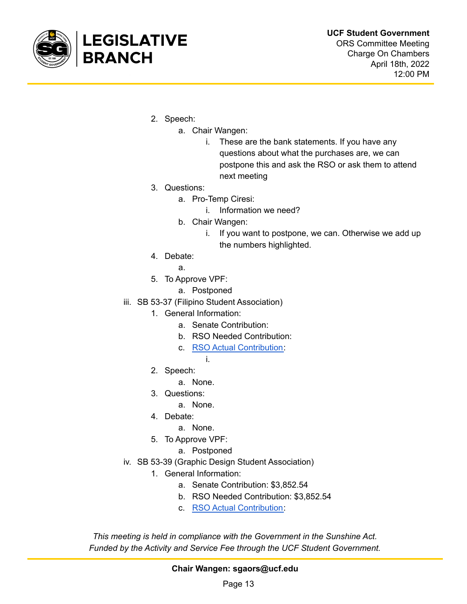

- 2. Speech:
	- a. Chair Wangen:
		- i. These are the bank statements. If you have any questions about what the purchases are, we can postpone this and ask the RSO or ask them to attend next meeting
- 3. Questions:
	- a. Pro-Temp Ciresi:
		- i. Information we need?
	- b. Chair Wangen:
		- i. If you want to postpone, we can. Otherwise we add up the numbers highlighted.
- 4. Debate:

a.

- 5. To Approve VPF:
	- a. Postponed
- iii. SB 53-37 (Filipino Student Association)
	- 1. General Information:
		- a. Senate Contribution:
		- b. RSO Needed Contribution:
		- c. RSO Actual [Contribution:](https://drive.google.com/drive/folders/1rntDpwC8JIIUKPdSZu-ZAcL4NJyvFfsd?usp=sharing)
			- i.
	- 2. Speech:
		- a. None.
	- 3. Questions:
		- a. None.
	- 4. Debate:
		- a. None.
	- 5. To Approve VPF:
		- a. Postponed
- iv. SB 53-39 (Graphic Design Student Association)
	- 1. General Information:
		- a. Senate Contribution: \$3,852.54
		- b. RSO Needed Contribution: \$3,852.54
		- c. RSO Actual [Contribution:](https://drive.google.com/drive/folders/1OUZ7iRFgggUYb9r1VYBtOqljYO8shtrI?usp=sharing)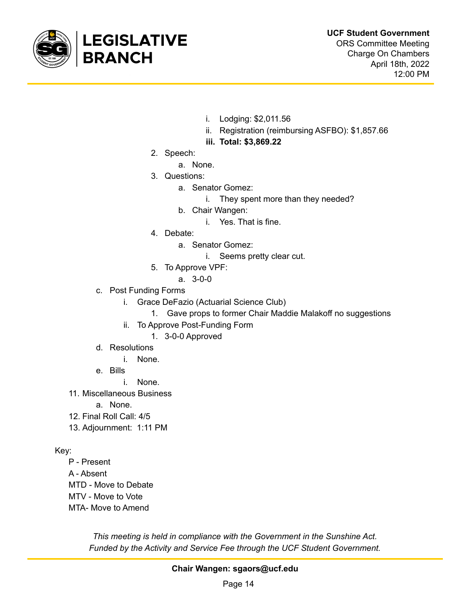

12:00 PM

- i. Lodging: \$2,011.56
- ii. Registration (reimbursing ASFBO): \$1,857.66
- **iii. Total: \$3,869.22**
- 2. Speech:
	- a. None.
- 3. Questions:
	- a. Senator Gomez:
		- i. They spent more than they needed?
	- b. Chair Wangen:
		- i. Yes. That is fine.
- 4. Debate:
	- a. Senator Gomez:
		- i. Seems pretty clear cut.
- 5. To Approve VPF:
	- a. 3-0-0
- c. Post Funding Forms
	- i. Grace DeFazio (Actuarial Science Club)
		- 1. Gave props to former Chair Maddie Malakoff no suggestions
	- ii. To Approve Post-Funding Form
		- 1. 3-0-0 Approved
- d. Resolutions
	- i. None.
- e. Bills
	- i. None.
- 11. Miscellaneous Business
	- a. None.
- 12. Final Roll Call: 4/5
- 13. Adjournment: 1:11 PM

Key:

- P Present A - Absent MTD - Move to Debate MTV - Move to Vote
- MTA- Move to Amend